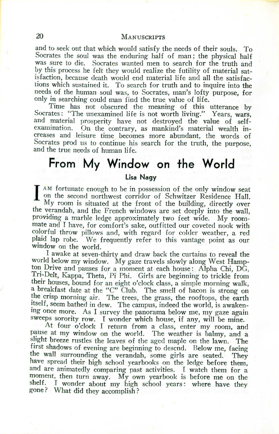## 20 MANUSCRIPTS

and to seek out that which would satisfy the needs of their souls. To Socrates the soul was the enduring half of man; the physical half was sure to die. Socrates wanted men to search for the truth and by this process he felt they would realize the futility of material satisfaction, because death would end material life and all the satisfactions which sustained it. To search for truth and to inquire into the needs of the human soul was, to Socrates, man's lofty purpose, for only in searching could man find the true value of life.

Time has not obscured the meaning of this utterance by Socrates: "The unexamined Iife is not worth living." Years, wars, and material prosperity have not destroyed the value of selfexamination. On the contrary, as mankind's material wealth increases and leisure time becomes more abundant, the words of Socrates prod us to continue his search for the truth, the purpose, and the true needs of human life.

## **From My Window on the World**

## **Lisa Nagy**

 $\mathbf{I}^{\prime}_{\mathbf{j}}$ AM fortunate enough to be in possession of the only window seat on the second northwest corridor of Schwitzer Residence Hall.  $My$  room is situated at the front of the building, directly over the verandah, and the French windows are set deeply into the wall, providing a marble ledge approximately two feet wide. My roommate and I have, for comfort's sake, outfitted our coveted nook with colorful throw pillows and, with regard for colder weather, a red plaid lap robe. We frequently refer to this vantage point as our window on the world.

I awake at seven-thirty and draw back the curtains to reveal the world below my window. My gaze travels slowly along West Hampton Drive and pauses for a moment at each house: Alpha Chi, DG, Tri-Delt, Kappa, Theta, Pi Phi. Girls are beginning to trickle from their houses, bound for an eight o'clock class, a simple morning walk, a breakfast date at the "C" Club. The smell of bacon is strong on the crisp morning air. The trees, the grass, the rooftops, the earth itself, seem bathed in dew. The campus, indeed the world, is awakenmg once more. As I survey the panorama below me, my gaze again sweeps sorority row. I wonder which house, if any, will be mine.

At four o'clock I return from a class, enter my room, and pause at my window on the world. The weather is balmy, and a slight breeze rustles the leaves of the aged maple on the lawn. The first shadows of evening are beginning to descnd. Below me, facing the wall surrounding the verandah, some girls are seated. They have spread their high school yearbooks on the ledge before them, and are animatedly comparing past activities. I watch them for a moment, then turn away. My own yearbook is before me on the shelf. I wonder about my high school years: where have they gone? What did they accomplish?